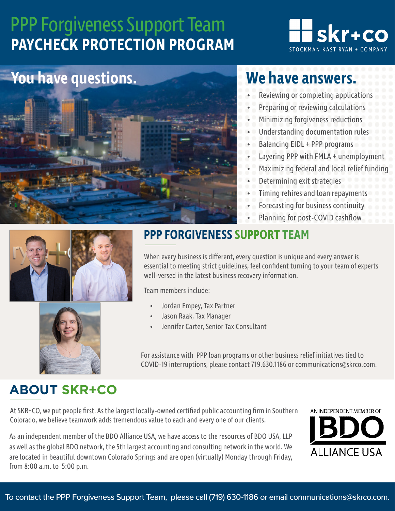# **PAYCHECK PROTECTION PROGRAM** PPP Forgiveness Support Team



# **You have questions.**



# **We have answers.**

- Reviewing or completing applications
- Preparing or reviewing calculations
- Minimizing forgiveness reductions
- Understanding documentation rules
- Balancing EIDL + PPP programs
- Layering PPP with FMLA + unemployment
- Maximizing federal and local relief funding
- Determining exit strategies
- Timing rehires and loan repayments
- Forecasting for business continuity
- Planning for post-COVID cashflow





### **PPP FORGIVENESS SUPPORT TEAM**

When every business is different, every question is unique and every answer is essential to meeting strict guidelines, feel confident turning to your team of experts well-versed in the latest business recovery information.

Team members include:

- Jordan Empey, Tax Partner
- Jason Raak, Tax Manager
- Jennifer Carter, Senior Tax Consultant

For assistance with PPP loan programs or other business relief initiatives tied to COVID-19 interruptions, please contact 719.630.1186 or communications@skrco.com.

### **ABOUT SKR+CO**

At SKR+CO, we put people first. As the largest locally-owned certified public accounting firm in Southern Colorado, we believe teamwork adds tremendous value to each and every one of our clients.

As an independent member of the BDO Alliance USA, we have access to the resources of BDO USA, LLP as well as the global BDO network, the 5th largest accounting and consulting network in the world. We are located in beautiful downtown Colorado Springs and are open (virtually) Monday through Friday, from 8:00 a.m. to 5:00 p.m.